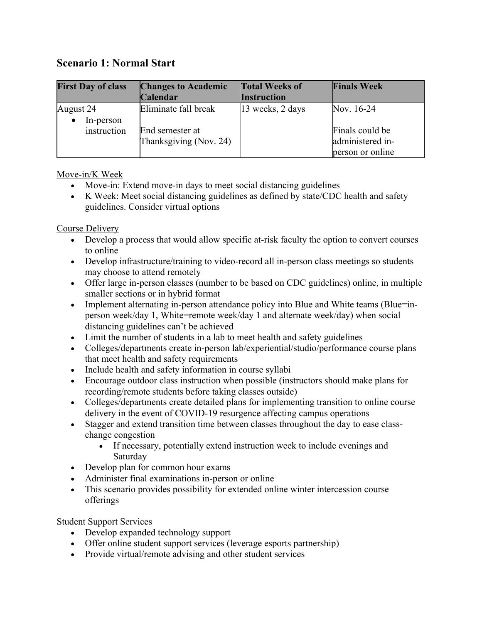# **Scenario 1: Normal Start**

| <b>First Day of class</b> | <b>Changes to Academic</b>                | <b>Total Weeks of</b> | <b>Finals Week</b>                                      |
|---------------------------|-------------------------------------------|-----------------------|---------------------------------------------------------|
|                           | Calendar                                  | <b>Instruction</b>    |                                                         |
| August 24                 | Eliminate fall break                      | 13 weeks, 2 days      | Nov. 16-24                                              |
| In-person<br>instruction  | End semester at<br>Thanksgiving (Nov. 24) |                       | Finals could be<br>administered in-<br>person or online |

## Move-in/K Week

- Move-in: Extend move-in days to meet social distancing guidelines
- K Week: Meet social distancing guidelines as defined by state/CDC health and safety guidelines. Consider virtual options

## Course Delivery

- Develop a process that would allow specific at-risk faculty the option to convert courses to online
- Develop infrastructure/training to video-record all in-person class meetings so students may choose to attend remotely
- Offer large in-person classes (number to be based on CDC guidelines) online, in multiple smaller sections or in hybrid format
- Implement alternating in-person attendance policy into Blue and White teams (Blue=inperson week/day 1, White=remote week/day 1 and alternate week/day) when social distancing guidelines can't be achieved
- Limit the number of students in a lab to meet health and safety guidelines
- Colleges/departments create in-person lab/experiential/studio/performance course plans that meet health and safety requirements
- Include health and safety information in course syllabi
- Encourage outdoor class instruction when possible (instructors should make plans for recording/remote students before taking classes outside)
- Colleges/departments create detailed plans for implementing transition to online course delivery in the event of COVID-19 resurgence affecting campus operations
- Stagger and extend transition time between classes throughout the day to ease classchange congestion
	- If necessary, potentially extend instruction week to include evenings and Saturday
- Develop plan for common hour exams
- Administer final examinations in-person or online
- This scenario provides possibility for extended online winter intercession course offerings

## Student Support Services

- Develop expanded technology support
- Offer online student support services (leverage esports partnership)
- Provide virtual/remote advising and other student services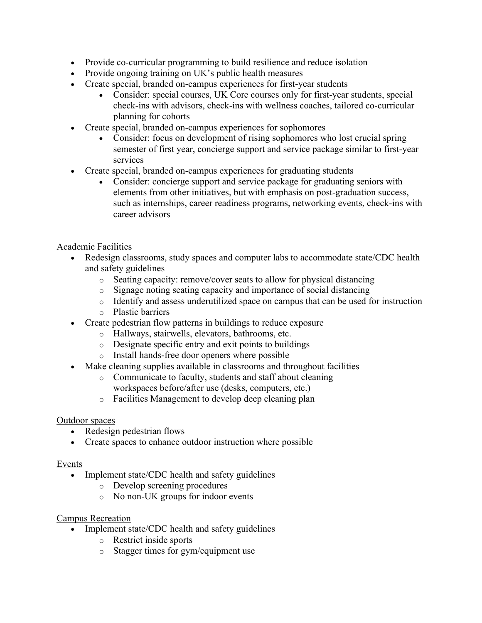- Provide co-curricular programming to build resilience and reduce isolation
- Provide ongoing training on UK's public health measures
- Create special, branded on-campus experiences for first-year students
	- Consider: special courses, UK Core courses only for first-year students, special check-ins with advisors, check-ins with wellness coaches, tailored co-curricular planning for cohorts
- Create special, branded on-campus experiences for sophomores
	- Consider: focus on development of rising sophomores who lost crucial spring semester of first year, concierge support and service package similar to first-year services
- Create special, branded on-campus experiences for graduating students
	- Consider: concierge support and service package for graduating seniors with elements from other initiatives, but with emphasis on post-graduation success, such as internships, career readiness programs, networking events, check-ins with career advisors

# Academic Facilities

- Redesign classrooms, study spaces and computer labs to accommodate state/CDC health and safety guidelines
	- o Seating capacity: remove/cover seats to allow for physical distancing
	- o Signage noting seating capacity and importance of social distancing
	- o Identify and assess underutilized space on campus that can be used for instruction o Plastic barriers
- Create pedestrian flow patterns in buildings to reduce exposure
	- o Hallways, stairwells, elevators, bathrooms, etc.
	- o Designate specific entry and exit points to buildings
	- o Install hands-free door openers where possible
- Make cleaning supplies available in classrooms and throughout facilities
	- o Communicate to faculty, students and staff about cleaning
		- workspaces before/after use (desks, computers, etc.)
	- o Facilities Management to develop deep cleaning plan

## Outdoor spaces

- Redesign pedestrian flows
- Create spaces to enhance outdoor instruction where possible

## Events

- Implement state/CDC health and safety guidelines
	- o Develop screening procedures
	- o No non-UK groups for indoor events

## Campus Recreation

- Implement state/CDC health and safety guidelines
	- o Restrict inside sports
	- o Stagger times for gym/equipment use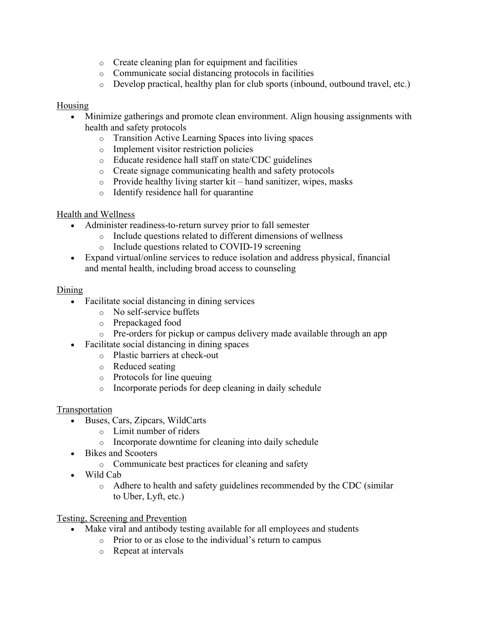- o Create cleaning plan for equipment and facilities
- o Communicate social distancing protocols in facilities
- $\circ$  Develop practical, healthy plan for club sports (inbound, outbound travel, etc.)

#### Housing

- Minimize gatherings and promote clean environment. Align housing assignments with health and safety protocols
	- o Transition Active Learning Spaces into living spaces
	- o Implement visitor restriction policies
	- o Educate residence hall staff on state/CDC guidelines
	- o Create signage communicating health and safety protocols
	- o Provide healthy living starter kit hand sanitizer, wipes, masks
	- o Identify residence hall for quarantine

#### Health and Wellness

- Administer readiness-to-return survey prior to fall semester
	- o Include questions related to different dimensions of wellness
	- o Include questions related to COVID-19 screening
- Expand virtual/online services to reduce isolation and address physical, financial and mental health, including broad access to counseling

#### Dining

- Facilitate social distancing in dining services
	- o No self-service buffets
	- o Prepackaged food
	- o Pre-orders for pickup or campus delivery made available through an app
- Facilitate social distancing in dining spaces
	- o Plastic barriers at check-out
	- o Reduced seating
	- o Protocols for line queuing
	- o Incorporate periods for deep cleaning in daily schedule

#### Transportation

- Buses, Cars, Zipcars, WildCarts
	- o Limit number of riders
	- o Incorporate downtime for cleaning into daily schedule
- Bikes and Scooters
	- o Communicate best practices for cleaning and safety
- Wild Cab
	- o Adhere to health and safety guidelines recommended by the CDC (similar to Uber, Lyft, etc.)

Testing, Screening and Prevention

- Make viral and antibody testing available for all employees and students
	- o Prior to or as close to the individual's return to campus
	- o Repeat at intervals